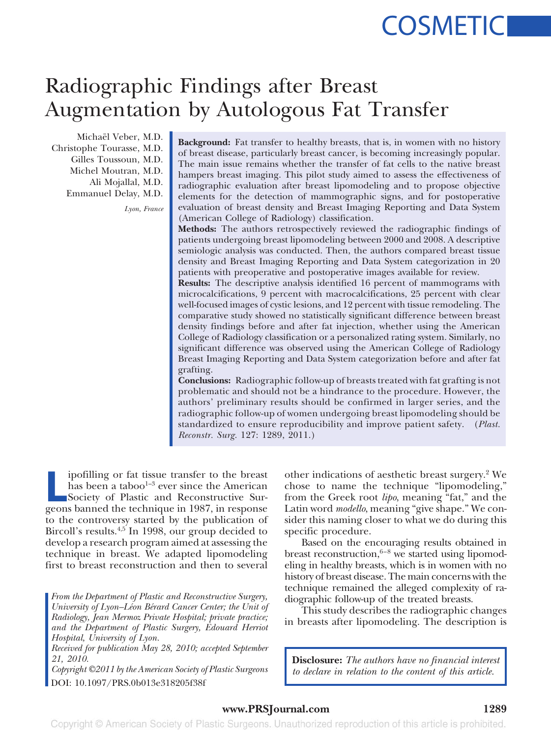# **COSMETICI**

## Radiographic Findings after Breast Augmentation by Autologous Fat Transfer

Michaël Veber, M.D. Christophe Tourasse, M.D. Gilles Toussoun, M.D. Michel Moutran, M.D. Ali Mojallal, M.D. Emmanuel Delay, M.D.

*Lyon, France*

**Background:** Fat transfer to healthy breasts, that is, in women with no history of breast disease, particularly breast cancer, is becoming increasingly popular. The main issue remains whether the transfer of fat cells to the native breast hampers breast imaging. This pilot study aimed to assess the effectiveness of radiographic evaluation after breast lipomodeling and to propose objective elements for the detection of mammographic signs, and for postoperative evaluation of breast density and Breast Imaging Reporting and Data System (American College of Radiology) classification.

**Methods:** The authors retrospectively reviewed the radiographic findings of patients undergoing breast lipomodeling between 2000 and 2008. A descriptive semiologic analysis was conducted. Then, the authors compared breast tissue density and Breast Imaging Reporting and Data System categorization in 20 patients with preoperative and postoperative images available for review.

**Results:** The descriptive analysis identified 16 percent of mammograms with microcalcifications, 9 percent with macrocalcifications, 25 percent with clear well-focused images of cystic lesions, and 12 percent with tissue remodeling. The comparative study showed no statistically significant difference between breast density findings before and after fat injection, whether using the American College of Radiology classification or a personalized rating system. Similarly, no significant difference was observed using the American College of Radiology Breast Imaging Reporting and Data System categorization before and after fat grafting.

**Conclusions:** Radiographic follow-up of breasts treated with fat grafting is not problematic and should not be a hindrance to the procedure. However, the authors' preliminary results should be confirmed in larger series, and the radiographic follow-up of women undergoing breast lipomodeling should be standardized to ensure reproducibility and improve patient safety. (*Plast. Reconstr. Surg.* 127: 1289, 2011.)

pofilling or fat tissue transfer to the breast<br>has been a taboo<sup>1-3</sup> ever since the American<br>Society of Plastic and Reconstructive Sur-<br>geons banned the technique in 1987, in response ipofilling or fat tissue transfer to the breast has been a taboo<sup>1-3</sup> ever since the American Society of Plastic and Reconstructive Surto the controversy started by the publication of Bircoll's results.<sup>4,5</sup> In 1998, our group decided to develop a research program aimed at assessing the technique in breast. We adapted lipomodeling first to breast reconstruction and then to several

*From the Department of Plastic and Reconstructive Surgery, University of Lyon–Léon Bérard Cancer Center; the Unit of Radiology, Jean Mermoz Private Hospital; private practice; and the Department of Plastic Surgery, Edouard Herriot Hospital, University of Lyon.*

*Received for publication May 28, 2010; accepted September 21, 2010.*

*Copyright ©2011 by the American Society of Plastic Surgeons* DOI: 10.1097/PRS.0b013e318205f38f

other indications of aesthetic breast surgery.2 We chose to name the technique "lipomodeling," from the Greek root *lipo*, meaning "fat," and the Latin word *modello*, meaning "give shape." We consider this naming closer to what we do during this specific procedure.

Based on the encouraging results obtained in breast reconstruction, $6-8$  we started using lipomodeling in healthy breasts, which is in women with no history of breast disease. The main concerns with the technique remained the alleged complexity of radiographic follow-up of the treated breasts.

This study describes the radiographic changes in breasts after lipomodeling. The description is

**Disclosure:** *The authors have no financial interest to declare in relation to the content of this article.*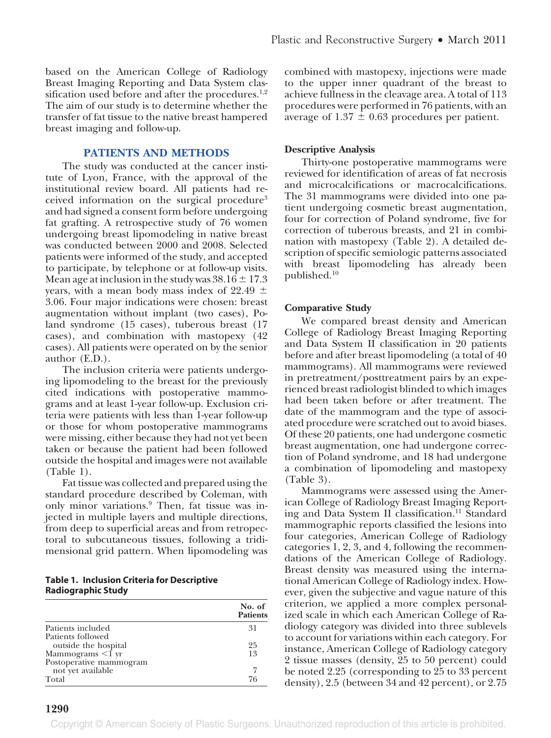based on the American College of Radiology Breast Imaging Reporting and Data System classification used before and after the procedures.<sup>1,2</sup> The aim of our study is to determine whether the transfer of fat tissue to the native breast hampered breast imaging and follow-up.

#### **PATIENTS AND METHODS**

The study was conducted at the cancer institute of Lyon, France, with the approval of the institutional review board. All patients had received information on the surgical procedure<sup>3</sup> and had signed a consent form before undergoing fat grafting. A retrospective study of 76 women undergoing breast lipomodeling in native breast was conducted between 2000 and 2008. Selected patients were informed of the study, and accepted to participate, by telephone or at follow-up visits. Mean age at inclusion in the study was  $38.16 \pm 17.3$ years, with a mean body mass index of 22.49  $\pm$ 3.06. Four major indications were chosen: breast augmentation without implant (two cases), Poland syndrome (15 cases), tuberous breast (17 cases), and combination with mastopexy (42 cases). All patients were operated on by the senior author (E.D.).

The inclusion criteria were patients undergoing lipomodeling to the breast for the previously cited indications with postoperative mammograms and at least 1-year follow-up. Exclusion criteria were patients with less than 1-year follow-up or those for whom postoperative mammograms were missing, either because they had not yet been taken or because the patient had been followed outside the hospital and images were not available (Table 1).

Fat tissue was collected and prepared using the standard procedure described by Coleman, with only minor variations.9 Then, fat tissue was injected in multiple layers and multiple directions, from deep to superficial areas and from retropectoral to subcutaneous tissues, following a tridimensional grid pattern. When lipomodeling was

**Table 1. Inclusion Criteria for Descriptive Radiographic Study**

|                         | No. of<br><b>Patients</b> |
|-------------------------|---------------------------|
| Patients included       | 31                        |
| Patients followed       |                           |
| outside the hospital    | 25                        |
| Mammograms $\leq$ f yr  | 13                        |
| Postoperative mammogram |                           |
| not yet available       |                           |
| Total                   | 76                        |

combined with mastopexy, injections were made to the upper inner quadrant of the breast to achieve fullness in the cleavage area. A total of 113 procedures were performed in 76 patients, with an average of  $1.37 \pm 0.63$  procedures per patient.

#### **Descriptive Analysis**

Thirty-one postoperative mammograms were reviewed for identification of areas of fat necrosis and microcalcifications or macrocalcifications. The 31 mammograms were divided into one patient undergoing cosmetic breast augmentation, four for correction of Poland syndrome, five for correction of tuberous breasts, and 21 in combination with mastopexy (Table 2). A detailed description of specific semiologic patterns associated with breast lipomodeling has already been published.10

#### **Comparative Study**

We compared breast density and American College of Radiology Breast Imaging Reporting and Data System II classification in 20 patients before and after breast lipomodeling (a total of 40 mammograms). All mammograms were reviewed in pretreatment/posttreatment pairs by an experienced breast radiologist blinded to which images had been taken before or after treatment. The date of the mammogram and the type of associated procedure were scratched out to avoid biases. Of these 20 patients, one had undergone cosmetic breast augmentation, one had undergone correction of Poland syndrome, and 18 had undergone a combination of lipomodeling and mastopexy (Table 3).

Mammograms were assessed using the American College of Radiology Breast Imaging Reporting and Data System II classification.<sup>11</sup> Standard mammographic reports classified the lesions into four categories, American College of Radiology categories 1, 2, 3, and 4, following the recommendations of the American College of Radiology. Breast density was measured using the international American College of Radiology index. However, given the subjective and vague nature of this criterion, we applied a more complex personalized scale in which each American College of Radiology category was divided into three sublevels to account for variations within each category. For instance, American College of Radiology category 2 tissue masses (density, 25 to 50 percent) could be noted 2.25 (corresponding to 25 to 33 percent density), 2.5 (between 34 and 42 percent), or 2.75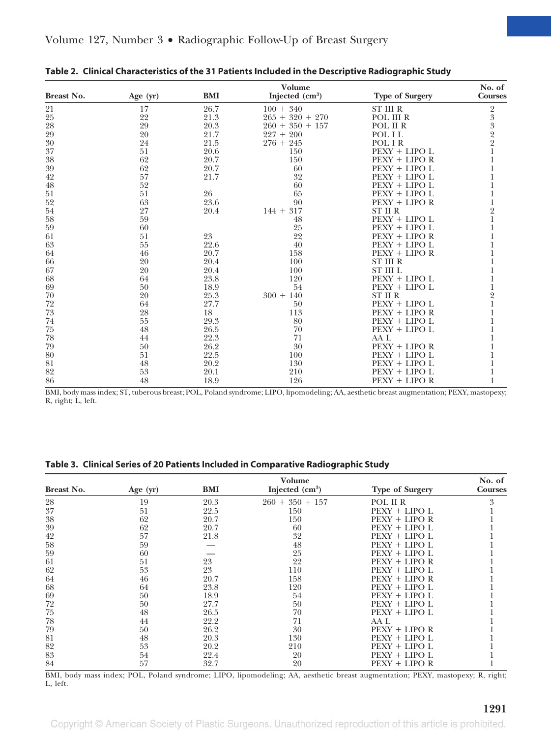|            | Volume     |            |                   |                        |                |
|------------|------------|------------|-------------------|------------------------|----------------|
| Breast No. | Age $(yr)$ | <b>BMI</b> | Injected $(cm3)$  | <b>Type of Surgery</b> | <b>Courses</b> |
| 21         | 17         | 26.7       | $100 + 340$       | <b>ST III R</b>        |                |
| 25         | 22         | 21.3       | $265 + 320 + 270$ | POL III R              | 23322          |
| 28         | 29         | 20.3       | $260 + 350 + 157$ | POL II R               |                |
| 29         | 20         | 21.7       | $227 + 200$       | POL I L                |                |
| 30         | 24         | 21.5       | $276 + 245$       | POL IR                 |                |
| 37         | 51         | 20.6       | 150               | $PEXY + LIPO L$        |                |
| 38         | 62         | 20.7       | 150               | $PEXY + LIPO R$        |                |
| 39         | 62         | 20.7       | 60                | $PEXY + LIPO L$        |                |
| 42         | 57         | 21.7       | 32                | $PEXY + LIPO L$        |                |
| 48         | 52         |            | 60                | PEXY + LIPO L          |                |
| 51         | 51         | 26         | 65                | $PEXY + LIPO L$        |                |
| 52         | 63         | 23.6       | 90                | PEXY + LIPO R          |                |
| 54         | 27         | 20.4       | $144 + 317$       | ST II R                | $\overline{2}$ |
| 58         | 59         |            | 48                | $PEXY + LIPO L$        |                |
| 59         | 60         |            | 25                | $PEXY + LIPO L$        |                |
| 61         | 51         | 23         | 22                | $PEXY + LIPO R$        |                |
| 63         | 55         | 22.6       | 40                | $PEXY + LIPO L$        |                |
| 64         | 46         | 20.7       | 158               | $PEXY + LIPO R$        |                |
| 66         | 20         | 20.4       | 100               | <b>ST III R</b>        |                |
| 67         | 20         | 20.4       | 100               | <b>ST III L</b>        |                |
| 68         | 64         | 23.8       | 120               | $PEXY + LIPO L$        |                |
| 69         | 50         | 18.9       | 54                | $PEXY + LIPO L$        |                |
| 70         | 20         | 25.3       | $300 + 140$       | ST II R                | $\overline{2}$ |
| 72         | 64         | 27.7       | 50                | $PEXY + LIPO L$        |                |
| 73         | 28         | 18         | 113               | $PEXY + LIPO R$        |                |
| 74         | 55         | 29.3       | 80                | $PEXY + LIPO L$        |                |
| 75         | 48         | 26.5       | 70                | PEXY + LIPO L          |                |
| 78         | 44         | 22.3       | 71                | AA L                   |                |
| 79         | 50         | 26.2       | 30                | $PEXY + LIPO R$        |                |
| 80         | 51         | 22.5       | 100               | $PEXY + LIPO L$        |                |
| 81         | 48         | 20.2       | 130               | $PEXY + LIPO L$        |                |
| 82         | 53         | 20.1       | 210               | $PEXY + LIPO L$        |                |
| 86         | 48         | 18.9       | 126               | $PEXY + LIPO R$        |                |

|  | Table 2. Clinical Characteristics of the 31 Patients Included in the Descriptive Radiographic Study |  |  |  |
|--|-----------------------------------------------------------------------------------------------------|--|--|--|
|--|-----------------------------------------------------------------------------------------------------|--|--|--|

BMI, body mass index; ST, tuberous breast; POL, Poland syndrome; LIPO, lipomodeling; AA, aesthetic breast augmentation; PEXY, mastopexy; R, right; L, left.

#### **Table 3. Clinical Series of 20 Patients Included in Comparative Radiographic Study**

|            | Volume     |      |                   |                        |                |
|------------|------------|------|-------------------|------------------------|----------------|
| Breast No. | Age $(yr)$ | BMI  | Injected $(cm3)$  | <b>Type of Surgery</b> | <b>Courses</b> |
| 28         | 19         | 20.3 | $260 + 350 + 157$ | POL II R               | 3              |
| 37         | 51         | 22.5 | 150               | $PEXY + LIPO L$        |                |
| 38         | 62         | 20.7 | 150               | $PEXY + LIPO R$        |                |
| 39         | 62         | 20.7 | 60                | PEXY + LIPO L          |                |
| 42         | 57         | 21.8 | 32                | $PEXY + LIPO L$        |                |
| 58         | 59         |      | 48                | $PEXY + LIPO L$        |                |
| 59         | 60         |      | 25                | PEXY + LIPO L          |                |
| 61         | 51         | 23   | 22                | $PEXY + LIPO R$        |                |
| 62         | 53         | 23   | 110               | $PEXY + LIPO L$        |                |
| 64         | 46         | 20.7 | 158               | $PEXY + LIPO R$        |                |
| 68         | 64         | 23.8 | 120               | PEXY + LIPO L          |                |
| 69         | 50         | 18.9 | 54                | PEXY + LIPO L          |                |
| 72         | 50         | 27.7 | 50                | $PEXY + LIPO L$        |                |
| 75         | 48         | 26.5 | 70                | PEXY + LIPO L          |                |
| 78         | 44         | 22.2 | 71                | AA L                   |                |
| 79         | 50         | 26.2 | 30                | $PEXY + LIPO R$        |                |
| 81         | 48         | 20.3 | 130               | $PEXY + LIPO L$        |                |
| 82         | 53         | 20.2 | 210               | $PEXY + LIPO L$        |                |
| 83         | 54         | 22.4 | 20                | PEXY + LIPO L          |                |
| 84         | 57         | 32.7 | 20                | PEXY + LIPO R          |                |

BMI, body mass index; POL, Poland syndrome; LIPO, lipomodeling; AA, aesthetic breast augmentation; PEXY, mastopexy; R, right; L, left.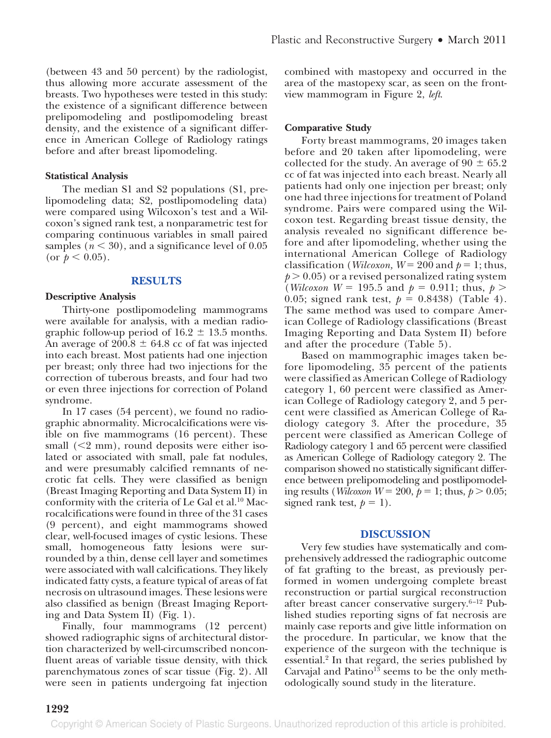(between 43 and 50 percent) by the radiologist, thus allowing more accurate assessment of the breasts. Two hypotheses were tested in this study: the existence of a significant difference between prelipomodeling and postlipomodeling breast density, and the existence of a significant difference in American College of Radiology ratings before and after breast lipomodeling.

#### **Statistical Analysis**

The median S1 and S2 populations (S1, prelipomodeling data; S2, postlipomodeling data) were compared using Wilcoxon's test and a Wilcoxon's signed rank test, a nonparametric test for comparing continuous variables in small paired samples  $(n < 30)$ , and a significance level of  $0.05$ (or  $p < 0.05$ ).

#### **RESULTS**

#### **Descriptive Analysis**

Thirty-one postlipomodeling mammograms were available for analysis, with a median radiographic follow-up period of  $16.2 \pm 13.5$  months. An average of 200.8  $\pm$  64.8 cc of fat was injected into each breast. Most patients had one injection per breast; only three had two injections for the correction of tuberous breasts, and four had two or even three injections for correction of Poland syndrome.

In 17 cases (54 percent), we found no radiographic abnormality. Microcalcifications were visible on five mammograms (16 percent). These small (<2 mm), round deposits were either isolated or associated with small, pale fat nodules, and were presumably calcified remnants of necrotic fat cells. They were classified as benign (Breast Imaging Reporting and Data System II) in conformity with the criteria of Le Gal et al. $^{10}$  Macrocalcifications were found in three of the 31 cases (9 percent), and eight mammograms showed clear, well-focused images of cystic lesions. These small, homogeneous fatty lesions were surrounded by a thin, dense cell layer and sometimes were associated with wall calcifications. They likely indicated fatty cysts, a feature typical of areas of fat necrosis on ultrasound images. These lesions were also classified as benign (Breast Imaging Reporting and Data System II) (Fig. 1).

Finally, four mammograms (12 percent) showed radiographic signs of architectural distortion characterized by well-circumscribed nonconfluent areas of variable tissue density, with thick parenchymatous zones of scar tissue (Fig. 2). All were seen in patients undergoing fat injection combined with mastopexy and occurred in the area of the mastopexy scar, as seen on the frontview mammogram in Figure 2, *left*.

#### **Comparative Study**

Forty breast mammograms, 20 images taken before and 20 taken after lipomodeling, were collected for the study. An average of  $90 \pm 65.2$ cc of fat was injected into each breast. Nearly all patients had only one injection per breast; only one had three injections for treatment of Poland syndrome. Pairs were compared using the Wilcoxon test. Regarding breast tissue density, the analysis revealed no significant difference before and after lipomodeling, whether using the international American College of Radiology classification (*Wilcoxon*,  $W = 200$  and  $p = 1$ ; thus,  $p > 0.05$ ) or a revised personalized rating system (*Wilcoxon W* = 195.5 and  $p = 0.911$ ; thus,  $p >$ 0.05; signed rank test,  $p = 0.8438$ ) (Table 4). The same method was used to compare American College of Radiology classifications (Breast Imaging Reporting and Data System II) before and after the procedure (Table 5).

Based on mammographic images taken before lipomodeling, 35 percent of the patients were classified as American College of Radiology category 1, 60 percent were classified as American College of Radiology category 2, and 5 percent were classified as American College of Radiology category 3. After the procedure, 35 percent were classified as American College of Radiology category 1 and 65 percent were classified as American College of Radiology category 2. The comparison showed no statistically significant difference between prelipomodeling and postlipomodeling results (*Wilcoxon W* = 200,  $p = 1$ ; thus,  $p > 0.05$ ; signed rank test,  $p = 1$ ).

#### **DISCUSSION**

Very few studies have systematically and comprehensively addressed the radiographic outcome of fat grafting to the breast, as previously performed in women undergoing complete breast reconstruction or partial surgical reconstruction after breast cancer conservative surgery. $6-12$  Published studies reporting signs of fat necrosis are mainly case reports and give little information on the procedure. In particular, we know that the experience of the surgeon with the technique is essential.<sup>2</sup> In that regard, the series published by Carvajal and Patino $13$  seems to be the only methodologically sound study in the literature.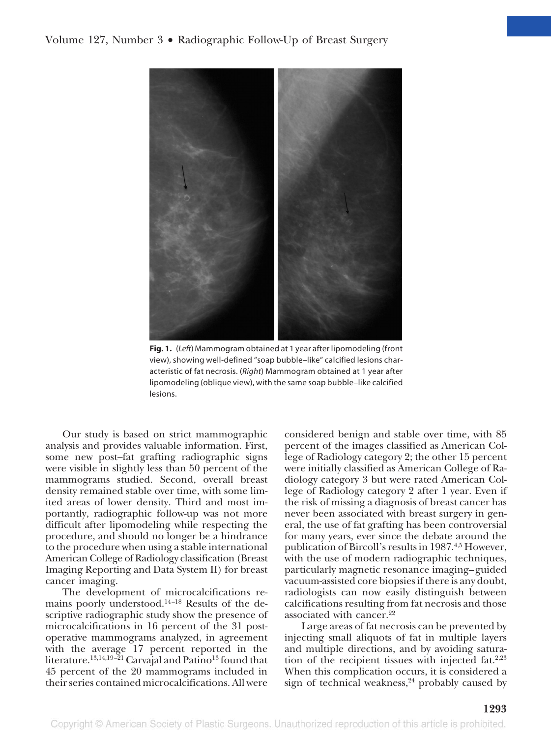#### Volume 127, Number 3 • Radiographic Follow-Up of Breast Surgery



**Fig. 1.** (*Left*) Mammogram obtained at 1 year after lipomodeling (front view), showing well-defined "soap bubble–like" calcified lesions characteristic of fat necrosis. (*Right*) Mammogram obtained at 1 year after lipomodeling (oblique view), with the same soap bubble–like calcified lesions.

Our study is based on strict mammographic analysis and provides valuable information. First, some new post–fat grafting radiographic signs were visible in slightly less than 50 percent of the mammograms studied. Second, overall breast density remained stable over time, with some limited areas of lower density. Third and most importantly, radiographic follow-up was not more difficult after lipomodeling while respecting the procedure, and should no longer be a hindrance to the procedure when using a stable international American College of Radiology classification (Breast Imaging Reporting and Data System II) for breast cancer imaging.

The development of microcalcifications remains poorly understood. $14-18$  Results of the descriptive radiographic study show the presence of microcalcifications in 16 percent of the 31 postoperative mammograms analyzed, in agreement with the average 17 percent reported in the literature.<sup>13,14,19-21</sup> Carvajal and Patino<sup>13</sup> found that 45 percent of the 20 mammograms included in their series contained microcalcifications. All were

considered benign and stable over time, with 85 percent of the images classified as American College of Radiology category 2; the other 15 percent were initially classified as American College of Radiology category 3 but were rated American College of Radiology category 2 after 1 year. Even if the risk of missing a diagnosis of breast cancer has never been associated with breast surgery in general, the use of fat grafting has been controversial for many years, ever since the debate around the publication of Bircoll's results in 1987.<sup>4,5</sup> However, with the use of modern radiographic techniques, particularly magnetic resonance imaging– guided vacuum-assisted core biopsies if there is any doubt, radiologists can now easily distinguish between calcifications resulting from fat necrosis and those associated with cancer.<sup>22</sup>

Large areas of fat necrosis can be prevented by injecting small aliquots of fat in multiple layers and multiple directions, and by avoiding saturation of the recipient tissues with injected fat. $2,23$ When this complication occurs, it is considered a sign of technical weakness, $24$  probably caused by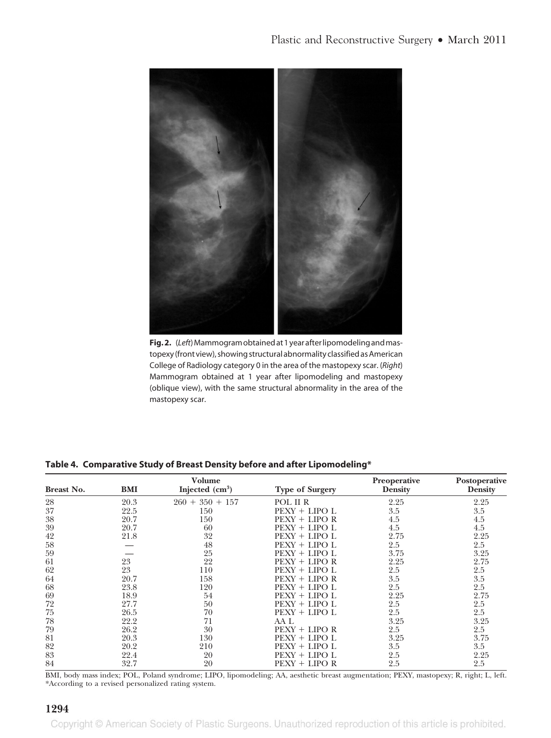

Fig. 2. (Left) Mammogram obtained at 1 year after lipomodeling and mastopexy (front view), showing structural abnormality classified as American College of Radiology category 0 in the area of the mastopexy scar. (*Right*) Mammogram obtained at 1 year after lipomodeling and mastopexy (oblique view), with the same structural abnormality in the area of the mastopexy scar.

| Breast No. | <b>BMI</b> | <b>Volume</b><br>Injected $(cm3)$ | <b>Type of Surgery</b> | <b>Preoperative</b><br><b>Density</b> | Postoperative<br><b>Density</b> |
|------------|------------|-----------------------------------|------------------------|---------------------------------------|---------------------------------|
| 28         | 20.3       | $350 + 157$<br>$260 +$            | POL II R               | 2.25                                  | 2.25                            |
| 37         | 22.5       | 150                               | $PEXY + LIPO L$        | 3.5                                   | 3.5                             |
| 38         | 20.7       | 150                               | $PEXY + LIPO R$        | 4.5                                   | 4.5                             |
| 39         | 20.7       | 60                                | $PEXY + LIPO L$        | 4.5                                   | 4.5                             |
| 42         | 21.8       | 32                                | $PEXY + LIPO L$        | 2.75                                  | 2.25                            |
| 58         |            | 48                                | $PEXY + LIPO L$        | 2.5                                   | 2.5                             |
| 59         |            | 25                                | $PEXY + LIPO L$        | 3.75                                  | 3.25                            |
| 61         | 23         | 22                                | $PEXY + LIPO R$        | 2.25                                  | 2.75                            |
| 62         | 23         | 110                               | $PEXY + LIPO L$        | 2.5                                   | 2.5                             |
| 64         | 20.7       | 158                               | $PEXY + LIPO R$        | 3.5                                   | 3.5                             |
| 68         | 23.8       | 120                               | $PEXY + LIPO L$        | 2.5                                   | 2.5                             |
| 69         | 18.9       | 54                                | $PEXY + LIPO L$        | 2.25                                  | 2.75                            |
| 72         | 27.7       | 50                                | $PEXY + LIPO L$        | 2.5                                   | 2.5                             |
| 75         | 26.5       | 70                                | $PEXY + LIPO L$        | 2.5                                   | 2.5                             |
| 78         | 22.2       | 71                                | AA L                   | 3.25                                  | 3.25                            |
| 79         | 26.2       | 30                                | $PEXY + LIPO R$        | 2.5                                   | 2.5                             |
| 81         | 20.3       | 130                               | $PEXY + LIPO L$        | 3.25                                  | 3.75                            |
| 82         | 20.2       | 210                               | $PEXY + LIPO L$        | 3.5                                   | 3.5                             |
| 83         | 22.4       | 20                                | $PEXY + LIPO L$        | 2.5                                   | 2.25                            |
| 84         | 32.7       | 20                                | $PEXY + LIPO R$        | 2.5                                   | 2.5                             |

**Table 4. Comparative Study of Breast Density before and after Lipomodeling\***

BMI, body mass index; POL, Poland syndrome; LIPO, lipomodeling; AA, aesthetic breast augmentation; PEXY, mastopexy; R, right; L, left. \*According to a revised personalized rating system.

#### **1294**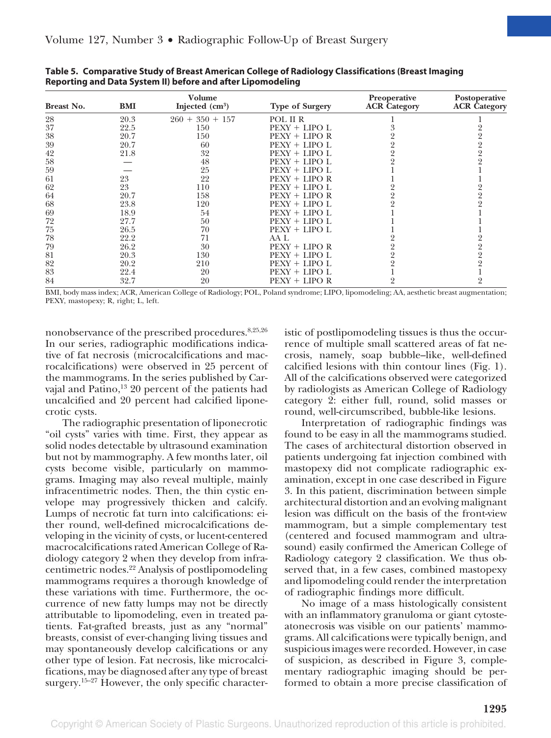| <b>Breast No.</b> | BMI  | Volume<br>Injected $(cm3)$ | <b>Type of Surgery</b> | Preoperative<br><b>ACR</b> Category | Postoperative<br><b>ACR</b> Category |
|-------------------|------|----------------------------|------------------------|-------------------------------------|--------------------------------------|
| 28                | 20.3 | $260 + 350 + 157$          | POL II R               |                                     |                                      |
| 37                | 22.5 | 150                        | $PEXY + LIPO L$        |                                     |                                      |
| 38                | 20.7 | 150                        | $PEXY + LIPO R$        |                                     |                                      |
| 39                | 20.7 | 60                         | $PEXY + LIPO L$        |                                     |                                      |
| 42                | 21.8 | 32                         | $PEXY + LIPO L$        |                                     |                                      |
| 58                |      | 48                         | $PEXY + LIPO L$        |                                     |                                      |
| 59                |      | 25                         | $PEXY + LIPO L$        |                                     |                                      |
| 61                | 23   | 22                         | $PEXY + LIPO R$        |                                     |                                      |
| 62                | 23   | 110                        | $PEXY + LIPO L$        |                                     |                                      |
| 64                | 20.7 | 158                        | $PEXY + Lipo R$        |                                     |                                      |
| 68                | 23.8 | 120                        | $PEXY + LIPO L$        |                                     |                                      |
| 69                | 18.9 | 54                         | $PEXY + LIPO L$        |                                     |                                      |
| 72                | 27.7 | 50                         | $PEXY + LIPO L$        |                                     |                                      |
| 75                | 26.5 | 70                         | $PEXY + LIPO L$        |                                     |                                      |
| 78                | 22.2 | 71                         | AA L                   |                                     |                                      |
| 79                | 26.2 | 30                         | $PEXY + LIPO R$        |                                     |                                      |
| 81                | 20.3 | 130                        | $PEXY + LIPO L$        |                                     |                                      |
| 82                | 20.2 | 210                        | $PEXY + LIPO L$        |                                     |                                      |
| 83                | 22.4 | 20                         | $PEXY + LIPO L$        |                                     |                                      |
| 84                | 32.7 | 20                         | $PEXY + LIPO R$        |                                     |                                      |

**Table 5. Comparative Study of Breast American College of Radiology Classifications (Breast Imaging Reporting and Data System II) before and after Lipomodeling**

BMI, body mass index; ACR, American College of Radiology; POL, Poland syndrome; LIPO, lipomodeling; AA, aesthetic breast augmentation; PEXY, mastopexy; R, right; L, left.

nonobservance of the prescribed procedures.8,25,26 In our series, radiographic modifications indicative of fat necrosis (microcalcifications and macrocalcifications) were observed in 25 percent of the mammograms. In the series published by Carvajal and Patino, $^{13}$  20 percent of the patients had uncalcified and 20 percent had calcified liponecrotic cysts.

The radiographic presentation of liponecrotic "oil cysts" varies with time. First, they appear as solid nodes detectable by ultrasound examination but not by mammography. A few months later, oil cysts become visible, particularly on mammograms. Imaging may also reveal multiple, mainly infracentimetric nodes. Then, the thin cystic envelope may progressively thicken and calcify. Lumps of necrotic fat turn into calcifications: either round, well-defined microcalcifications developing in the vicinity of cysts, or lucent-centered macrocalcifications rated American College of Radiology category 2 when they develop from infracentimetric nodes.22 Analysis of postlipomodeling mammograms requires a thorough knowledge of these variations with time. Furthermore, the occurrence of new fatty lumps may not be directly attributable to lipomodeling, even in treated patients. Fat-grafted breasts, just as any "normal" breasts, consist of ever-changing living tissues and may spontaneously develop calcifications or any other type of lesion. Fat necrosis, like microcalcifications, may be diagnosed after any type of breast surgery.<sup>15–27</sup> However, the only specific characteristic of postlipomodeling tissues is thus the occurrence of multiple small scattered areas of fat necrosis, namely, soap bubble–like, well-defined calcified lesions with thin contour lines (Fig. 1). All of the calcifications observed were categorized by radiologists as American College of Radiology category 2: either full, round, solid masses or round, well-circumscribed, bubble-like lesions.

Interpretation of radiographic findings was found to be easy in all the mammograms studied. The cases of architectural distortion observed in patients undergoing fat injection combined with mastopexy did not complicate radiographic examination, except in one case described in Figure 3. In this patient, discrimination between simple architectural distortion and an evolving malignant lesion was difficult on the basis of the front-view mammogram, but a simple complementary test (centered and focused mammogram and ultrasound) easily confirmed the American College of Radiology category 2 classification. We thus observed that, in a few cases, combined mastopexy and lipomodeling could render the interpretation of radiographic findings more difficult.

No image of a mass histologically consistent with an inflammatory granuloma or giant cytosteatonecrosis was visible on our patients' mammograms. All calcifications were typically benign, and suspicious images were recorded. However, in case of suspicion, as described in Figure 3, complementary radiographic imaging should be performed to obtain a more precise classification of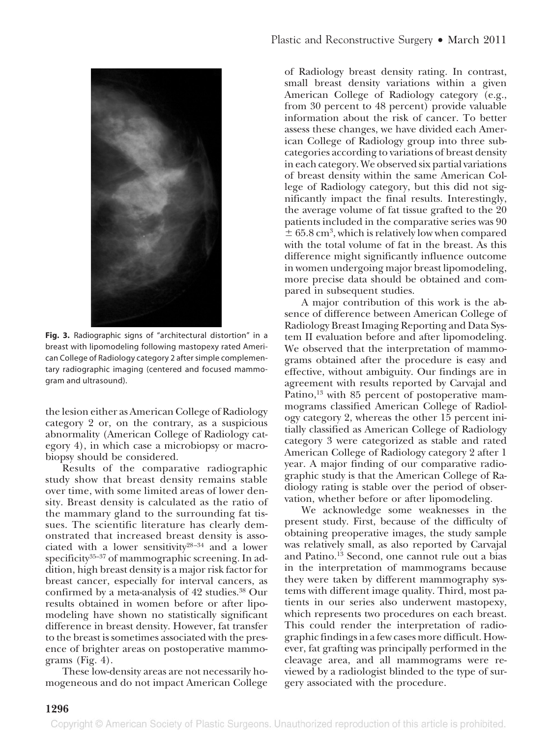

**Fig. 3.** Radiographic signs of "architectural distortion" in a breast with lipomodeling following mastopexy rated American College of Radiology category 2 after simple complementary radiographic imaging (centered and focused mammogram and ultrasound).

the lesion either as American College of Radiology category 2 or, on the contrary, as a suspicious abnormality (American College of Radiology category 4), in which case a microbiopsy or macrobiopsy should be considered.

Results of the comparative radiographic study show that breast density remains stable over time, with some limited areas of lower density. Breast density is calculated as the ratio of the mammary gland to the surrounding fat tissues. The scientific literature has clearly demonstrated that increased breast density is associated with a lower sensitivity<sup>28-34</sup> and a lower specificity<sup>35–37</sup> of mammographic screening. In addition, high breast density is a major risk factor for breast cancer, especially for interval cancers, as confirmed by a meta-analysis of 42 studies.<sup>38</sup> Our results obtained in women before or after lipomodeling have shown no statistically significant difference in breast density. However, fat transfer to the breast is sometimes associated with the presence of brighter areas on postoperative mammograms (Fig. 4).

These low-density areas are not necessarily homogeneous and do not impact American College of Radiology breast density rating. In contrast, small breast density variations within a given American College of Radiology category (e.g., from 30 percent to 48 percent) provide valuable information about the risk of cancer. To better assess these changes, we have divided each American College of Radiology group into three subcategories according to variations of breast density in each category. We observed six partial variations of breast density within the same American College of Radiology category, but this did not significantly impact the final results. Interestingly, the average volume of fat tissue grafted to the 20 patients included in the comparative series was 90  $\pm$  65.8 cm<sup>3</sup>, which is relatively low when compared with the total volume of fat in the breast. As this difference might significantly influence outcome in women undergoing major breast lipomodeling, more precise data should be obtained and compared in subsequent studies.

A major contribution of this work is the absence of difference between American College of Radiology Breast Imaging Reporting and Data System II evaluation before and after lipomodeling. We observed that the interpretation of mammograms obtained after the procedure is easy and effective, without ambiguity. Our findings are in agreement with results reported by Carvajal and Patino,<sup>13</sup> with 85 percent of postoperative mammograms classified American College of Radiology category 2, whereas the other 15 percent initially classified as American College of Radiology category 3 were categorized as stable and rated American College of Radiology category 2 after 1 year. A major finding of our comparative radiographic study is that the American College of Radiology rating is stable over the period of observation, whether before or after lipomodeling.

We acknowledge some weaknesses in the present study. First, because of the difficulty of obtaining preoperative images, the study sample was relatively small, as also reported by Carvajal and Patino.13 Second, one cannot rule out a bias in the interpretation of mammograms because they were taken by different mammography systems with different image quality. Third, most patients in our series also underwent mastopexy, which represents two procedures on each breast. This could render the interpretation of radiographic findings in a few cases more difficult. However, fat grafting was principally performed in the cleavage area, and all mammograms were reviewed by a radiologist blinded to the type of surgery associated with the procedure.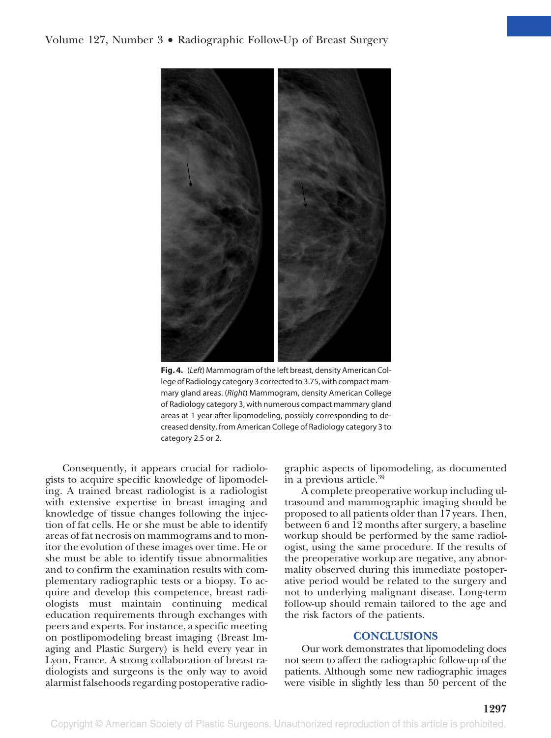

**Fig. 4.** (*Left*) Mammogram of the left breast, density American College of Radiology category 3 corrected to 3.75, with compact mammary gland areas. (*Right*) Mammogram, density American College of Radiology category 3, with numerous compact mammary gland areas at 1 year after lipomodeling, possibly corresponding to decreased density, from American College of Radiology category 3 to category 2.5 or 2.

Consequently, it appears crucial for radiologists to acquire specific knowledge of lipomodeling. A trained breast radiologist is a radiologist with extensive expertise in breast imaging and knowledge of tissue changes following the injection of fat cells. He or she must be able to identify areas of fat necrosis on mammograms and to monitor the evolution of these images over time. He or she must be able to identify tissue abnormalities and to confirm the examination results with complementary radiographic tests or a biopsy. To acquire and develop this competence, breast radiologists must maintain continuing medical education requirements through exchanges with peers and experts. For instance, a specific meeting on postlipomodeling breast imaging (Breast Imaging and Plastic Surgery) is held every year in Lyon, France. A strong collaboration of breast radiologists and surgeons is the only way to avoid alarmist falsehoods regarding postoperative radiographic aspects of lipomodeling, as documented in a previous article.39

A complete preoperative workup including ultrasound and mammographic imaging should be proposed to all patients older than 17 years. Then, between 6 and 12 months after surgery, a baseline workup should be performed by the same radiologist, using the same procedure. If the results of the preoperative workup are negative, any abnormality observed during this immediate postoperative period would be related to the surgery and not to underlying malignant disease. Long-term follow-up should remain tailored to the age and the risk factors of the patients.

#### **CONCLUSIONS**

Our work demonstrates that lipomodeling does not seem to affect the radiographic follow-up of the patients. Although some new radiographic images were visible in slightly less than 50 percent of the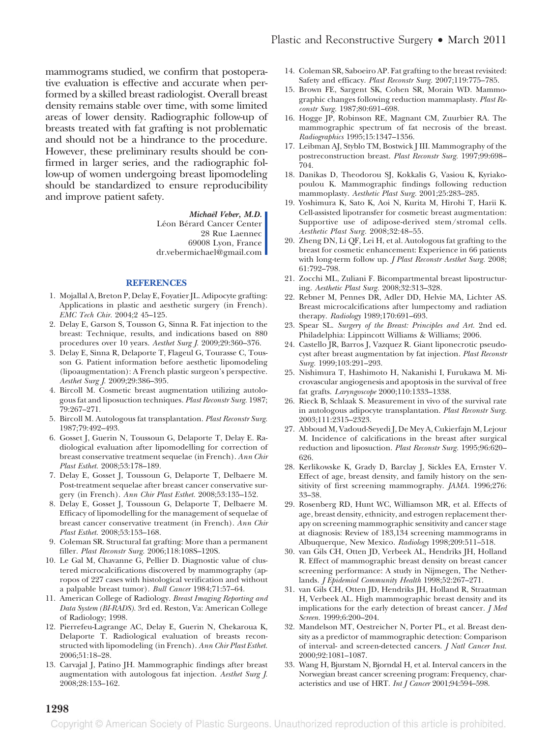mammograms studied, we confirm that postoperative evaluation is effective and accurate when performed by a skilled breast radiologist. Overall breast density remains stable over time, with some limited areas of lower density. Radiographic follow-up of breasts treated with fat grafting is not problematic and should not be a hindrance to the procedure. However, these preliminary results should be confirmed in larger series, and the radiographic follow-up of women undergoing breast lipomodeling should be standardized to ensure reproducibility and improve patient safety.

> *Michaël Veber, M.D.* Léon Bérard Cancer Center 28 Rue Laennec 69008 Lyon, France dr.vebermichael@gmail.com

#### **REFERENCES**

- 1. Mojallal A, Breton P, Delay E, Foyatier JL. Adipocyte grafting: Applications in plastic and aesthetic surgery (in French). *EMC Tech Chir.* 2004;2 45–125.
- 2. Delay E, Garson S, Tousson G, Sinna R. Fat injection to the breast: Technique, results, and indications based on 880 procedures over 10 years. *Aesthet Surg J.* 2009;29:360–376.
- 3. Delay E, Sinna R, Delaporte T, Flageul G, Tourasse C, Tousson G. Patient information before aesthetic lipomodeling (lipoaugmentation): A French plastic surgeon's perspective. *Aesthet Surg J.* 2009;29:386–395.
- 4. Bircoll M. Cosmetic breast augmentation utilizing autologous fat and liposuction techniques. *Plast Reconstr Surg.* 1987; 79:267–271.
- 5. Bircoll M. Autologous fat transplantation. *Plast Reconstr Surg.* 1987;79:492–493.
- 6. Gosset J, Guerin N, Toussoun G, Delaporte T, Delay E. Radiological evaluation after lipomodelling for correction of breast conservative treatment sequelae (in French). *Ann Chir Plast Esthet.* 2008;53:178–189.
- 7. Delay E, Gosset J, Toussoun G, Delaporte T, Delbaere M. Post-treatment sequelae after breast cancer conservative surgery (in French). *Ann Chir Plast Esthet.* 2008;53:135–152.
- 8. Delay E, Gosset J, Toussoun G, Delaporte T, Delbaere M. Efficacy of lipomodelling for the management of sequelae of breast cancer conservative treatment (in French). *Ann Chir Plast Esthet.* 2008;53:153–168.
- 9. Coleman SR. Structural fat grafting: More than a permanent filler. *Plast Reconstr Surg.* 2006;118:108S–120S.
- 10. Le Gal M, Chavanne G, Pellier D. Diagnostic value of clustered microcalcifications discovered by mammography (apropos of 227 cases with histological verification and without a palpable breast tumor). *Bull Cancer* 1984;71:57–64.
- 11. American College of Radiology. *Breast Imaging Reporting and Data System (BI-RADS).* 3rd ed. Reston, Va: American College of Radiology; 1998.
- 12. Pierrefeu-Lagrange AC, Delay E, Guerin N, Chekaroua K, Delaporte T. Radiological evaluation of breasts reconstructed with lipomodeling (in French). *Ann Chir Plast Esthet.* 2006;51:18–28.
- 13. Carvajal J, Patino JH. Mammographic findings after breast augmentation with autologous fat injection. *Aesthet Surg J.* 2008;28:153–162.
- 14. Coleman SR, Saboeiro AP. Fat grafting to the breast revisited: Safety and efficacy. *Plast Reconstr Surg.* 2007;119:775–785.
- 15. Brown FE, Sargent SK, Cohen SR, Morain WD. Mammographic changes following reduction mammaplasty. *Plast Reconstr Surg.* 1987;80:691–698.
- 16. Hogge JP, Robinson RE, Magnant CM, Zuurbier RA. The mammographic spectrum of fat necrosis of the breast. *Radiographics* 1995;15:1347–1356.
- 17. Leibman AJ, Styblo TM, Bostwick J III. Mammography of the postreconstruction breast. *Plast Reconstr Surg.* 1997;99:698– 704.
- 18. Danikas D, Theodorou SJ, Kokkalis G, Vasiou K, Kyriakopoulou K. Mammographic findings following reduction mammoplasty. *Aesthetic Plast Surg.* 2001;25:283–285.
- 19. Yoshimura K, Sato K, Aoi N, Kurita M, Hirohi T, Harii K. Cell-assisted lipotransfer for cosmetic breast augmentation: Supportive use of adipose-derived stem/stromal cells. *Aesthetic Plast Surg.* 2008;32:48–55.
- 20. Zheng DN, Li QF, Lei H, et al. Autologous fat grafting to the breast for cosmetic enhancement: Experience in 66 patients with long-term follow up. *J Plast Reconstr Aesthet Surg.* 2008; 61:792–798.
- 21. Zocchi ML, Zuliani F. Bicompartmental breast lipostructuring. *Aesthetic Plast Surg.* 2008;32:313–328.
- 22. Rebner M, Pennes DR, Adler DD, Helvie MA, Lichter AS. Breast microcalcifications after lumpectomy and radiation therapy. *Radiology* 1989;170:691–693.
- 23. Spear SL. *Surgery of the Breast: Principles and Art.* 2nd ed. Philadelphia: Lippincott Williams & Williams; 2006.
- 24. Castello JR, Barros J, Vazquez R. Giant liponecrotic pseudocyst after breast augmentation by fat injection. *Plast Reconstr Surg.* 1999;103:291–293.
- 25. Nishimura T, Hashimoto H, Nakanishi I, Furukawa M. Microvascular angiogenesis and apoptosis in the survival of free fat grafts. *Laryngoscope* 2000;110:1333–1338.
- 26. Rieck B, Schlaak S. Measurement in vivo of the survival rate in autologous adipocyte transplantation. *Plast Reconstr Surg.* 2003;111:2315–2323.
- 27. Abboud M, Vadoud-Seyedi J, De Mey A, Cukierfajn M, Lejour M. Incidence of calcifications in the breast after surgical reduction and liposuction. *Plast Reconstr Surg.* 1995;96:620– 626.
- 28. Kerlikowske K, Grady D, Barclay J, Sickles EA, Ernster V. Effect of age, breast density, and family history on the sensitivity of first screening mammography. *JAMA.* 1996;276: 33–38.
- 29. Rosenberg RD, Hunt WC, Williamson MR, et al. Effects of age, breast density, ethnicity, and estrogen replacement therapy on screening mammographic sensitivity and cancer stage at diagnosis: Review of 183,134 screening mammograms in Albuquerque, New Mexico. *Radiology* 1998;209:511–518.
- 30. van Gils CH, Otten JD, Verbeek AL, Hendriks JH, Holland R. Effect of mammographic breast density on breast cancer screening performance: A study in Nijmegen, The Netherlands. *J Epidemiol Community Health* 1998;52:267–271.
- 31. van Gils CH, Otten JD, Hendriks JH, Holland R, Straatman H, Verbeek AL. High mammographic breast density and its implications for the early detection of breast cancer. *J Med Screen.* 1999;6:200–204.
- 32. Mandelson MT, Oestreicher N, Porter PL, et al. Breast density as a predictor of mammographic detection: Comparison of interval- and screen-detected cancers. *J Natl Cancer Inst.* 2000;92:1081–1087.
- 33. Wang H, Bjurstam N, Bjorndal H, et al. Interval cancers in the Norwegian breast cancer screening program: Frequency, characteristics and use of HRT. *Int J Cancer* 2001;94:594–598.

#### **1298**